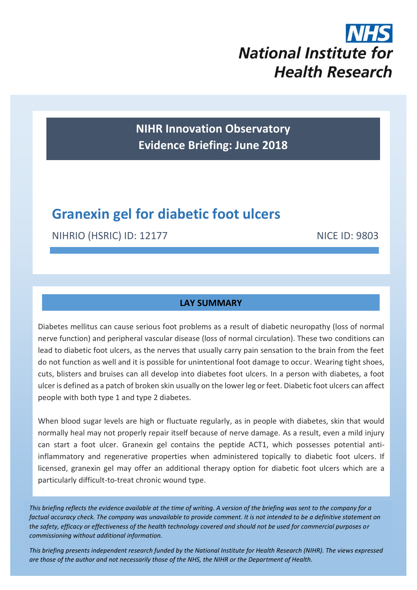# **National Institute for Health Research**

**NIHR Innovation Observatory Evidence Briefing: June 2018**

## **Granexin gel for diabetic foot ulcers**

NIHRIO (HSRIC) ID: 12177 NICE ID: 9803

## **LAY SUMMARY**

Diabetes mellitus can cause serious foot problems as a result of diabetic neuropathy (loss of normal nerve function) and peripheral vascular disease (loss of normal circulation). These two conditions can lead to diabetic foot ulcers, as the nerves that usually carry pain sensation to the brain from the feet do not function as well and it is possible for unintentional foot damage to occur. Wearing tight shoes, cuts, blisters and bruises can all develop into diabetes foot ulcers. In a person with diabetes, a foot ulcer is defined as a patch of broken skin usually on the lower leg or feet. Diabetic foot ulcers can affect people with both type 1 and type 2 diabetes.

When blood sugar levels are high or fluctuate regularly, as in people with diabetes, skin that would normally heal may not properly repair itself because of nerve damage. As a result, even a mild injury can start a foot ulcer. Granexin gel contains the peptide ACT1, which possesses potential antiinflammatory and regenerative properties when administered topically to diabetic foot ulcers. If licensed, granexin gel may offer an additional therapy option for diabetic foot ulcers which are a particularly difficult-to-treat chronic wound type.

*This briefing reflects the evidence available at the time of writing. A version of the briefing was sent to the company for a factual accuracy check. The company was unavailable to provide comment. It is not intended to be a definitive statement on the safety, efficacy or effectiveness of the health technology covered and should not be used for commercial purposes or commissioning without additional information.*

1 *This briefing presents independent research funded by the National Institute for Health Research (NIHR). The views expressed are those of the author and not necessarily those of the NHS, the NIHR or the Department of Health.*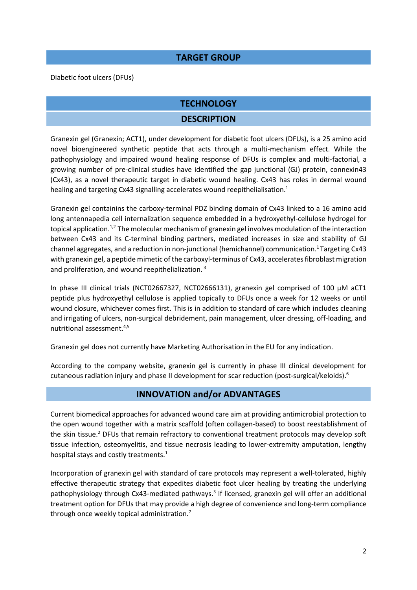## **TARGET GROUP**

Diabetic foot ulcers (DFUs)

## **TECHNOLOGY**

## <span id="page-1-0"></span>**DESCRIPTION**

Granexin gel (Granexin; ACT1), under development for diabetic foot ulcers (DFUs), is a 25 amino acid novel bioengineered synthetic peptide that acts through a multi-mechanism effect. While the pathophysiology and impaired wound healing response of DFUs is complex and multi-factorial, a growing number of pre-clinical studies have identified the gap junctional (GJ) protein, connexin43 (Cx43), as a novel therapeutic target in diabetic wound healing. Cx43 has roles in dermal wound healing and targeting Cx43 signalling accelerates wound reepithelialisation. 1

<span id="page-1-1"></span>Granexin gel containins the carboxy-terminal PDZ binding domain of Cx43 linked to a 16 amino acid long antennapedia cell internalization sequence embedded in a hydroxyethyl-cellulose hydrogel for topical application.<sup>[1,](#page-1-0)2</sup> The molecular mechanism of granexin gel involves modulation of the interaction between Cx43 and its C-terminal binding partners, mediated increases in size and stability of GJ channel aggregates, and a reduction in non-junctional (hemichannel) communication.[1](#page-1-0) Targeting Cx43 with granexin gel, a peptide mimetic of the carboxyl-terminus of Cx43, accelerates fibroblast migration and proliferation, and wound reepithelialization. <sup>3</sup>

In phase III clinical trials (NCT02667327, NCT02666131), granexin gel comprised of 100 μM aCT1 peptide plus hydroxyethyl cellulose is applied topically to DFUs once a week for 12 weeks or until wound closure, whichever comes first. This is in addition to standard of care which includes cleaning and irrigating of ulcers, non-surgical debridement, pain management, ulcer dressing, off-loading, and nutritional assessment. 4,5

Granexin gel does not currently have Marketing Authorisation in the EU for any indication.

According to the company website, granexin gel is currently in phase III clinical development for cutaneous radiation injury and phase II development for scar reduction (post-surgical/keloids). 6

## <span id="page-1-2"></span>**INNOVATION and/or ADVANTAGES**

Current biomedical approaches for advanced wound care aim at providing antimicrobial protection to the open wound together with a matrix scaffold (often collagen-based) to boost reestablishment of the skin tissu[e.](#page-1-1)<sup>2</sup> DFUs that remain refractory to conventional treatment protocols may develop soft tissue infection, osteomyelitis, and tissue necrosis leading to lower-extremity amputation, lengthy hospital stays and costly treatment[s.](#page-1-0)<sup>1</sup>

Incorporation of granexin gel with standard of care protocols may represent a well-tolerated, highly effective therapeutic strategy that expedites diabetic foot ulcer healing by treating the underlying pathophysiology through Cx43-mediated pathway[s.](#page-1-2)<sup>3</sup> If licensed, granexin gel will offer an additional treatment option for DFUs that may provide a high degree of convenience and long-term compliance through once weekly topical administration.<sup>7</sup>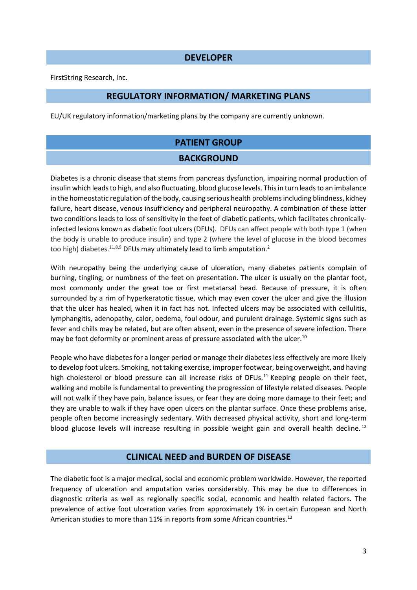#### **DEVELOPER**

FirstString Research, Inc.

## **REGULATORY INFORMATION/ MARKETING PLANS**

EU/UK regulatory information/marketing plans by the company are currently unknown.

## **PATIENT GROUP BACKGROUND**

Diabetes is a chronic disease that stems from pancreas dysfunction, impairing normal production of insulin which leads to high, and also fluctuating, blood glucose levels. This in turn leads to an imbalance in the homeostatic regulation of the body, causing serious health problems including blindness, kidney failure, heart disease, venous insufficiency and peripheral neuropathy. A combination of these latter two conditions leads to loss of sensitivity in the feet of diabetic patients, which facilitates chronicallyinfected lesions known as diabetic foot ulcers (DFUs). DFUs can affect people with both type 1 (when the body is unable to produce insulin) and type 2 (where the level of glucose in the blood becomes too high) diabetes.<sup>[11,8](#page-2-0),9</sup> DFUs may ultimately lead to limb amputation[.](#page-1-1)<sup>2</sup>

With neuropathy being the underlying cause of ulceration, many diabetes patients complain of burning, tingling, or numbness of the feet on presentation. The ulcer is usually on the plantar foot, most commonly under the great toe or first metatarsal head. Because of pressure, it is often surrounded by a rim of hyperkeratotic tissue, which may even cover the ulcer and give the illusion that the ulcer has healed, when it in fact has not. Infected ulcers may be associated with cellulitis, lymphangitis, adenopathy, calor, oedema, foul odour, and purulent drainage. Systemic signs such as fever and chills may be related, but are often absent, even in the presence of severe infection. There may be foot deformity or prominent areas of pressure associated with the ulcer.<sup>10</sup>

People who have diabetes for a longer period or manage their diabetes less effectively are more likely to develop foot ulcers. Smoking, not taking exercise, improper footwear, being overweight, and having high cholesterol or blood pressure can all increase risks of DFUs.<sup>11</sup> Keeping people on their feet, walking and mobile is fundamental to preventing the progression of lifestyle related diseases. People will not walk if they have pain, balance issues, or fear they are doing more damage to their feet; and they are unable to walk if they have open ulcers on the plantar surface. Once these problems arise, people often become increasingly sedentary. With decreased physical activity, short and long-term blood glucose levels will increase resulting in possible weight gain and overall health decline.<sup>12</sup>

#### <span id="page-2-1"></span><span id="page-2-0"></span>**CLINICAL NEED and BURDEN OF DISEASE**

The diabetic foot is a major medical, social and economic problem worldwide. However, the reported frequency of ulceration and amputation varies considerably. This may be due to differences in diagnostic criteria as well as regionally specific social, economic and health related factors. The prevalence of active foot ulceration varies from approximately 1% in certain European and North American studies to more than 11% in reports from some African countries.<sup>[12](#page-2-1)</sup>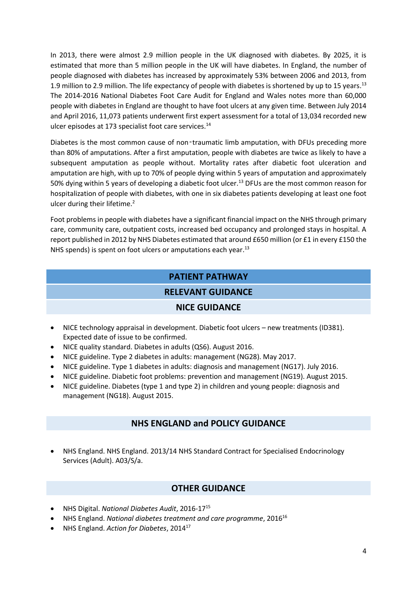In 2013, there were almost 2.9 million people in the UK diagnosed with diabetes. By 2025, it is estimated that more than 5 million people in the UK will have diabetes. In England, the number of people diagnosed with diabetes has increased by approximately 53% between 2006 and 2013, from 1.9 million to 2.9 million. The life expectancy of people with diabetes is shortened by up to 15 years.<sup>13</sup> The 2014-2016 National Diabetes Foot Care Audit for England and Wales notes more than 60,000 people with diabetes in England are thought to have foot ulcers at any given time. Between July 2014 and April 2016, 11,073 patients underwent first expert assessment for a total of 13,034 recorded new ulcer episodes at 173 specialist foot care services.<sup>14</sup>

Diabetes is the most common cause of non-traumatic limb amputation, with DFUs preceding more than 80% of amputations. After a first amputation, people with diabetes are twice as likely to have a subsequent amputation as people without. Mortality rates after diabetic foot ulceration and amputation are high, with up to 70% of people dying within 5 years of amputation and approximately 50% dying within 5 years of developing a diabetic foot ulcer.<sup>[13](#page-3-0)</sup> DFUs are the most common reason for hospitalization of people with diabetes, with one in six diabetes patients developing at least one foot ulcer during their lifetime.<sup>[2](#page-1-1)</sup>

Foot problems in people with diabetes have a significant financial impact on the NHS through primary care, community care, outpatient costs, increased bed occupancy and prolonged stays in hospital. A report published in 2012 by NHS Diabetes estimated that around £650 million (or £1 in every £150 the NHS spends) is spent on foot ulcers or amputations each year.<sup>[13](#page-3-0)</sup>

## <span id="page-3-0"></span>**PATIENT PATHWAY**

## **RELEVANT GUIDANCE**

## **NICE GUIDANCE**

- NICE technology appraisal in development. Diabetic foot ulcers new treatments (ID381). Expected date of issue to be confirmed.
- NICE quality standard. Diabetes in adults (QS6). August 2016.
- NICE guideline. Type 2 diabetes in adults: management (NG28). May 2017.
- NICE guideline. Type 1 diabetes in adults: diagnosis and management (NG17). July 2016.
- NICE guideline. Diabetic foot problems: prevention and management (NG19). August 2015.
- NICE guideline. Diabetes (type 1 and type 2) in children and young people: diagnosis and management (NG18). August 2015.

## **NHS ENGLAND and POLICY GUIDANCE**

 NHS England. NHS England. 2013/14 NHS Standard Contract for Specialised Endocrinology Services (Adult). A03/S/a.

## **OTHER GUIDANCE**

- NHS Digital. *National Diabetes Audit*, 2016-17<sup>15</sup>
- NHS England. *National diabetes treatment and care programme*, 2016<sup>16</sup>
- NHS England. *Action for Diabetes*, 2014<sup>17</sup>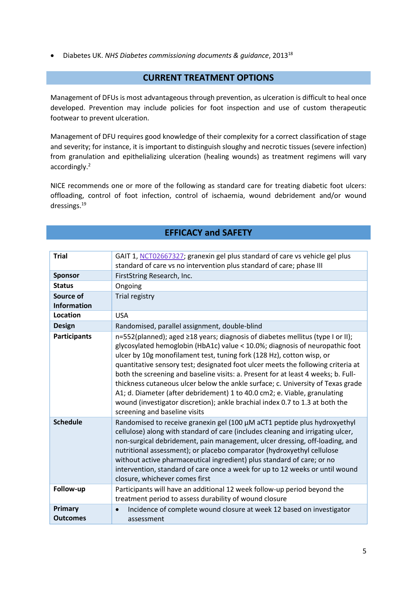Diabetes UK. *NHS Diabetes commissioning documents & guidance*, 2013<sup>18</sup>

### **CURRENT TREATMENT OPTIONS**

Management of DFUs is most advantageous through prevention, as ulceration is difficult to heal once developed. Prevention may include policies for foot inspection and use of custom therapeutic footwear to prevent ulceration.

Management of DFU requires good knowledge of their complexity for a correct classification of stage and severity; for instance, it is important to distinguish sloughy and necrotic tissues (severe infection) from granulation and epithelializing ulceration (healing wounds) as treatment regimens will vary accordingly.[2](#page-1-1)

NICE recommends one or more of the following as standard care for treating diabetic foot ulcers: offloading, control of foot infection, control of ischaemia, wound debridement and/or wound dressings.<sup>19</sup>

## **EFFICACY and SAFETY**

| <b>Trial</b>                    | GAIT 1, NCT02667327; granexin gel plus standard of care vs vehicle gel plus<br>standard of care vs no intervention plus standard of care; phase III                                                                                                                                                                                                                                                                                                                                                                                                                                                                                                                                               |
|---------------------------------|---------------------------------------------------------------------------------------------------------------------------------------------------------------------------------------------------------------------------------------------------------------------------------------------------------------------------------------------------------------------------------------------------------------------------------------------------------------------------------------------------------------------------------------------------------------------------------------------------------------------------------------------------------------------------------------------------|
| <b>Sponsor</b>                  | FirstString Research, Inc.                                                                                                                                                                                                                                                                                                                                                                                                                                                                                                                                                                                                                                                                        |
| <b>Status</b>                   | Ongoing                                                                                                                                                                                                                                                                                                                                                                                                                                                                                                                                                                                                                                                                                           |
| Source of<br><b>Information</b> | Trial registry                                                                                                                                                                                                                                                                                                                                                                                                                                                                                                                                                                                                                                                                                    |
| Location                        | <b>USA</b>                                                                                                                                                                                                                                                                                                                                                                                                                                                                                                                                                                                                                                                                                        |
| <b>Design</b>                   | Randomised, parallel assignment, double-blind                                                                                                                                                                                                                                                                                                                                                                                                                                                                                                                                                                                                                                                     |
| <b>Participants</b>             | n=552(planned); aged ≥18 years; diagnosis of diabetes mellitus (type I or II);<br>glycosylated hemoglobin (HbA1c) value < 10.0%; diagnosis of neuropathic foot<br>ulcer by 10g monofilament test, tuning fork (128 Hz), cotton wisp, or<br>quantitative sensory test; designated foot ulcer meets the following criteria at<br>both the screening and baseline visits: a. Present for at least 4 weeks; b. Full-<br>thickness cutaneous ulcer below the ankle surface; c. University of Texas grade<br>A1; d. Diameter (after debridement) 1 to 40.0 cm2; e. Viable, granulating<br>wound (investigator discretion); ankle brachial index 0.7 to 1.3 at both the<br>screening and baseline visits |
| <b>Schedule</b>                 | Randomised to receive granexin gel (100 µM aCT1 peptide plus hydroxyethyl<br>cellulose) along with standard of care (includes cleaning and irrigating ulcer,<br>non-surgical debridement, pain management, ulcer dressing, off-loading, and<br>nutritional assessment); or placebo comparator (hydroxyethyl cellulose<br>without active pharmaceutical ingredient) plus standard of care; or no<br>intervention, standard of care once a week for up to 12 weeks or until wound<br>closure, whichever comes first                                                                                                                                                                                 |
| Follow-up                       | Participants will have an additional 12 week follow-up period beyond the<br>treatment period to assess durability of wound closure                                                                                                                                                                                                                                                                                                                                                                                                                                                                                                                                                                |
| Primary<br><b>Outcomes</b>      | Incidence of complete wound closure at week 12 based on investigator<br>assessment                                                                                                                                                                                                                                                                                                                                                                                                                                                                                                                                                                                                                |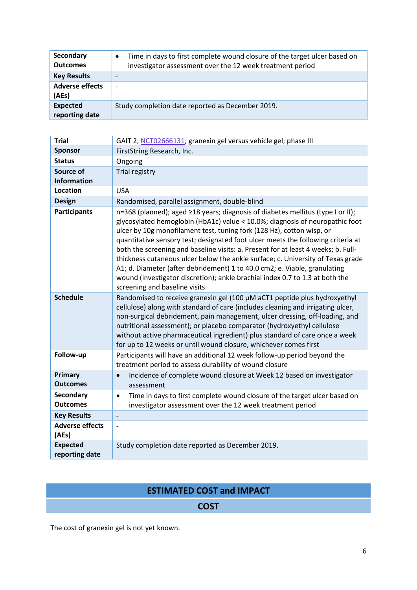| Secondary<br><b>Outcomes</b>      | Time in days to first complete wound closure of the target ulcer based on<br>investigator assessment over the 12 week treatment period |
|-----------------------------------|----------------------------------------------------------------------------------------------------------------------------------------|
| <b>Key Results</b>                |                                                                                                                                        |
| <b>Adverse effects</b><br>(AEs)   | $\overline{\phantom{0}}$                                                                                                               |
| <b>Expected</b><br>reporting date | Study completion date reported as December 2019.                                                                                       |

| <b>Trial</b>                        | GAIT 2, NCT02666131; granexin gel versus vehicle gel; phase III                                                                                                                                                                                                                                                                                                                                                                                                                                                                                                                                                                                                                                    |
|-------------------------------------|----------------------------------------------------------------------------------------------------------------------------------------------------------------------------------------------------------------------------------------------------------------------------------------------------------------------------------------------------------------------------------------------------------------------------------------------------------------------------------------------------------------------------------------------------------------------------------------------------------------------------------------------------------------------------------------------------|
| <b>Sponsor</b>                      | FirstString Research, Inc.                                                                                                                                                                                                                                                                                                                                                                                                                                                                                                                                                                                                                                                                         |
| <b>Status</b>                       | Ongoing                                                                                                                                                                                                                                                                                                                                                                                                                                                                                                                                                                                                                                                                                            |
| Source of<br><b>Information</b>     | Trial registry                                                                                                                                                                                                                                                                                                                                                                                                                                                                                                                                                                                                                                                                                     |
| <b>Location</b>                     | <b>USA</b>                                                                                                                                                                                                                                                                                                                                                                                                                                                                                                                                                                                                                                                                                         |
| <b>Design</b>                       | Randomised, parallel assignment, double-blind                                                                                                                                                                                                                                                                                                                                                                                                                                                                                                                                                                                                                                                      |
| <b>Participants</b>                 | n=368 (planned); aged ≥18 years; diagnosis of diabetes mellitus (type I or II);<br>glycosylated hemoglobin (HbA1c) value < 10.0%; diagnosis of neuropathic foot<br>ulcer by 10g monofilament test, tuning fork (128 Hz), cotton wisp, or<br>quantitative sensory test; designated foot ulcer meets the following criteria at<br>both the screening and baseline visits: a. Present for at least 4 weeks; b. Full-<br>thickness cutaneous ulcer below the ankle surface; c. University of Texas grade<br>A1; d. Diameter (after debridement) 1 to 40.0 cm2; e. Viable, granulating<br>wound (investigator discretion); ankle brachial index 0.7 to 1.3 at both the<br>screening and baseline visits |
| <b>Schedule</b>                     | Randomised to receive granexin gel (100 µM aCT1 peptide plus hydroxyethyl<br>cellulose) along with standard of care (includes cleaning and irrigating ulcer,<br>non-surgical debridement, pain management, ulcer dressing, off-loading, and<br>nutritional assessment); or placebo comparator (hydroxyethyl cellulose<br>without active pharmaceutical ingredient) plus standard of care once a week<br>for up to 12 weeks or until wound closure, whichever comes first                                                                                                                                                                                                                           |
| Follow-up                           | Participants will have an additional 12 week follow-up period beyond the<br>treatment period to assess durability of wound closure                                                                                                                                                                                                                                                                                                                                                                                                                                                                                                                                                                 |
| Primary<br><b>Outcomes</b>          | Incidence of complete wound closure at Week 12 based on investigator<br>$\bullet$<br>assessment                                                                                                                                                                                                                                                                                                                                                                                                                                                                                                                                                                                                    |
| <b>Secondary</b><br><b>Outcomes</b> | Time in days to first complete wound closure of the target ulcer based on<br>$\bullet$<br>investigator assessment over the 12 week treatment period                                                                                                                                                                                                                                                                                                                                                                                                                                                                                                                                                |
| <b>Key Results</b>                  | $\overline{\phantom{a}}$                                                                                                                                                                                                                                                                                                                                                                                                                                                                                                                                                                                                                                                                           |
| <b>Adverse effects</b><br>(AEs)     | $\overline{a}$                                                                                                                                                                                                                                                                                                                                                                                                                                                                                                                                                                                                                                                                                     |
| <b>Expected</b><br>reporting date   | Study completion date reported as December 2019.                                                                                                                                                                                                                                                                                                                                                                                                                                                                                                                                                                                                                                                   |

## **ESTIMATED COST and IMPACT**

## **COST**

The cost of granexin gel is not yet known.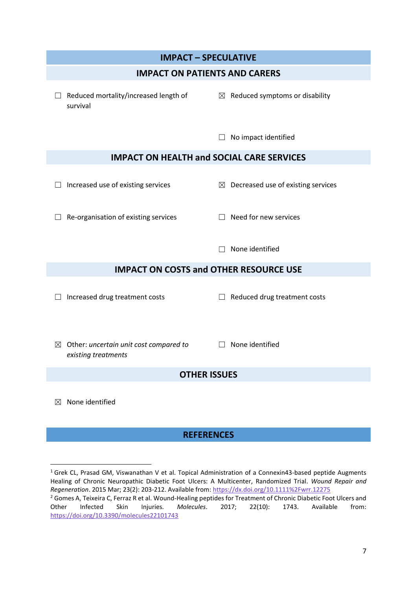

## **REFERENCES**

**.** 

<sup>&</sup>lt;sup>1</sup> Grek CL, Prasad GM, Viswanathan V et al. Topical Administration of a Connexin43-based peptide Augments Healing of Chronic Neuropathic Diabetic Foot Ulcers: A Multicenter, Randomized Trial. *Wound Repair and Regeneration*. 2015 Mar; 23(2): 203-212. Available from:<https://dx.doi.org/10.1111%2Fwrr.12275> <sup>2</sup> Gomes A, Teixeira C, Ferraz R et al. Wound-Healing peptides for Treatment of Chronic Diabetic Foot Ulcers and Other Infected Skin Injuries. *Molecules*. 2017; 22(10): 1743. Available from: <https://doi.org/10.3390/molecules22101743>